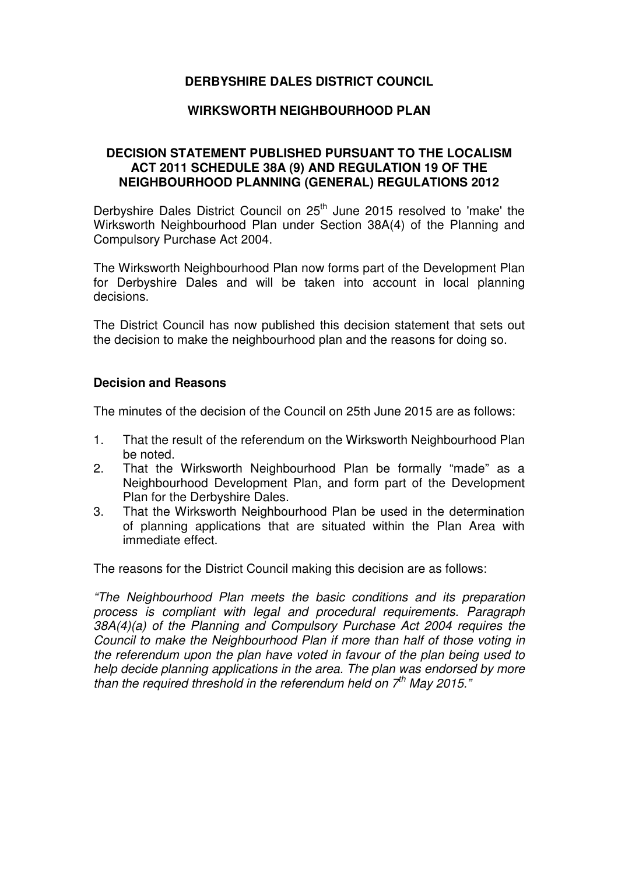# **DERBYSHIRE DALES DISTRICT COUNCIL**

### **WIRKSWORTH NEIGHBOURHOOD PLAN**

## **DECISION STATEMENT PUBLISHED PURSUANT TO THE LOCALISM ACT 2011 SCHEDULE 38A (9) AND REGULATION 19 OF THE NEIGHBOURHOOD PLANNING (GENERAL) REGULATIONS 2012**

Derbyshire Dales District Council on 25<sup>th</sup> June 2015 resolved to 'make' the Wirksworth Neighbourhood Plan under Section 38A(4) of the Planning and Compulsory Purchase Act 2004.

The Wirksworth Neighbourhood Plan now forms part of the Development Plan for Derbyshire Dales and will be taken into account in local planning decisions.

The District Council has now published this decision statement that sets out the decision to make the neighbourhood plan and the reasons for doing so.

### **Decision and Reasons**

The minutes of the decision of the Council on 25th June 2015 are as follows:

- 1. That the result of the referendum on the Wirksworth Neighbourhood Plan be noted.
- 2. That the Wirksworth Neighbourhood Plan be formally "made" as a Neighbourhood Development Plan, and form part of the Development Plan for the Derbyshire Dales.
- 3. That the Wirksworth Neighbourhood Plan be used in the determination of planning applications that are situated within the Plan Area with immediate effect.

The reasons for the District Council making this decision are as follows:

"The Neighbourhood Plan meets the basic conditions and its preparation process is compliant with legal and procedural requirements. Paragraph 38A(4)(a) of the Planning and Compulsory Purchase Act 2004 requires the Council to make the Neighbourhood Plan if more than half of those voting in the referendum upon the plan have voted in favour of the plan being used to help decide planning applications in the area. The plan was endorsed by more than the required threshold in the referendum held on  $7<sup>th</sup>$  May 2015."